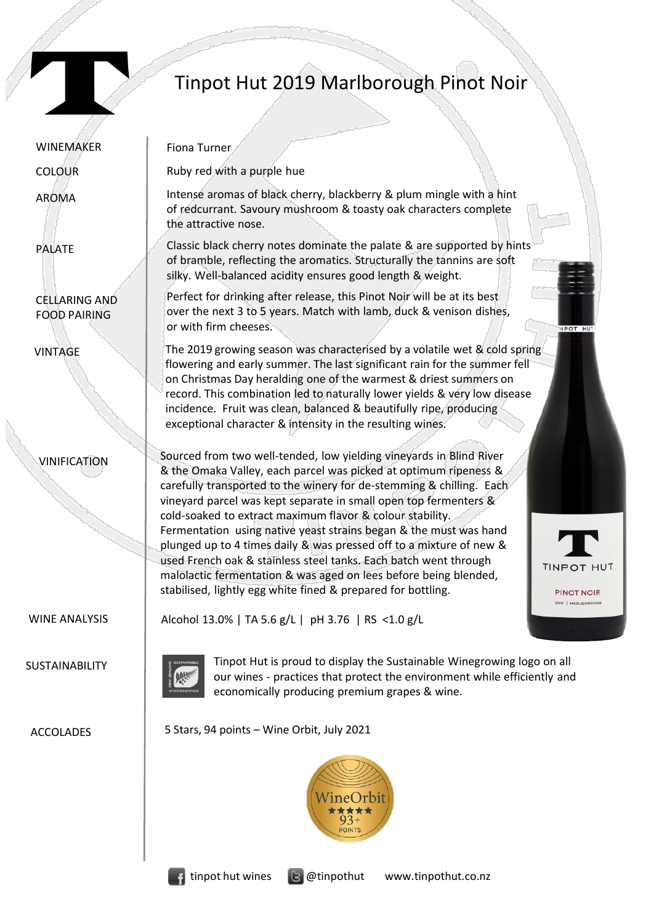

## Tinpot Hut 2019 Marlborough Pinot Noir

| <b>WINEMAKER</b>                            | Fiona Turner                                                                                                                                                                                                                                                                                                                                                                                                                                                                                                                                                                                                                                                                                                                                       |  |
|---------------------------------------------|----------------------------------------------------------------------------------------------------------------------------------------------------------------------------------------------------------------------------------------------------------------------------------------------------------------------------------------------------------------------------------------------------------------------------------------------------------------------------------------------------------------------------------------------------------------------------------------------------------------------------------------------------------------------------------------------------------------------------------------------------|--|
| <b>COLOUR</b>                               | Ruby red with a purple hue                                                                                                                                                                                                                                                                                                                                                                                                                                                                                                                                                                                                                                                                                                                         |  |
| <b>AROMA</b>                                | Intense aromas of black cherry, blackberry & plum mingle with a hint<br>of redcurrant. Savoury mushroom & toasty oak characters complete<br>the attractive nose.                                                                                                                                                                                                                                                                                                                                                                                                                                                                                                                                                                                   |  |
| <b>PALATE</b>                               | Classic black cherry notes dominate the palate & are supported by hints<br>of bramble, reflecting the aromatics. Structurally the tannins are soft<br>silky. Well-balanced acidity ensures good length & weight.                                                                                                                                                                                                                                                                                                                                                                                                                                                                                                                                   |  |
| <b>CELLARING AND</b><br><b>FOOD PAIRING</b> | Perfect for drinking after release, this Pinot Noir will be at its best<br>over the next 3 to 5 years. Match with lamb, duck & venison dishes,<br>or with firm cheeses.<br>INPOT HUT                                                                                                                                                                                                                                                                                                                                                                                                                                                                                                                                                               |  |
| <b>VINTAGE</b>                              | The 2019 growing season was characterised by a volatile wet & cold spring<br>flowering and early summer. The last significant rain for the summer fell<br>on Christmas Day heralding one of the warmest & driest summers on<br>record. This combination led to naturally lower yields & very low disease<br>incidence. Fruit was clean, balanced & beautifully ripe, producing<br>exceptional character & intensity in the resulting wines.                                                                                                                                                                                                                                                                                                        |  |
| <b>VINIFICATION</b>                         | Sourced from two well-tended, low yielding vineyards in Blind River<br>& the Omaka Valley, each parcel was picked at optimum ripeness &<br>carefully transported to the winery for de-stemming & chilling. Each<br>vineyard parcel was kept separate in small open top fermenters &<br>cold-soaked to extract maximum flavor & colour stability.<br>Fermentation using native yeast strains began & the must was hand<br>plunged up to 4 times daily & was pressed off to a mixture of new &<br>used French oak & stainless steel tanks. Each batch went through<br>TINPOT<br>malolactic fermentation & was aged on lees before being blended,<br>stabilised, lightly egg white fined & prepared for bottling.<br>PINOT NOIR<br>2019   MARLBOROUGH |  |
| <b>WINE ANALYSIS</b>                        | Alcohol 13.0%   TA 5.6 g/L   pH 3.76   RS <1.0 g/L                                                                                                                                                                                                                                                                                                                                                                                                                                                                                                                                                                                                                                                                                                 |  |
| SUSTAINABILITY                              | Tinpot Hut is proud to display the Sustainable Winegrowing logo on all<br>our wines - practices that protect the environment while efficiently and<br>economically producing premium grapes & wine.                                                                                                                                                                                                                                                                                                                                                                                                                                                                                                                                                |  |
| <b>ACCOLADES</b>                            | 5 Stars, 94 points - Wine Orbit, July 2021                                                                                                                                                                                                                                                                                                                                                                                                                                                                                                                                                                                                                                                                                                         |  |
|                                             |                                                                                                                                                                                                                                                                                                                                                                                                                                                                                                                                                                                                                                                                                                                                                    |  |